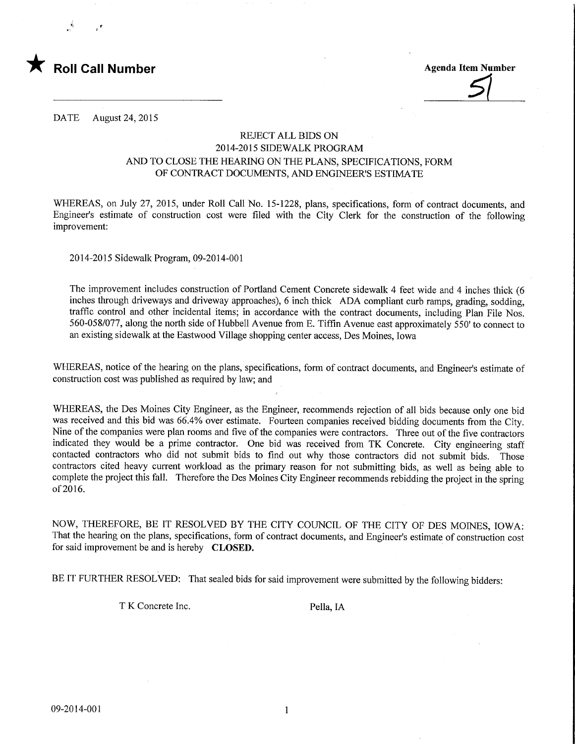

DATE August 24, 2015

## REJECT ALL BIDS ON 2014-2015 SIDEWALK PROGRAM AND TO CLOSE THE HEARING ON THE PLANS, SPECIFICATIONS, FORM OF CONTRACT DOCUMENTS, AND ENGINEER'S ESTIMATE

WHEREAS, on July 27, 2015, under Roll Call No. 15-1228, plans, specifications, form of contract documents, and Engineer's estimate of construction cost were filed with the City Clerk for the construction of the following improvement:

2014-2015 Sidewalk Program, 09-2014-001

The improvement includes construction of Portland Cement Concrete sidewalk 4 feet wide and 4 inches thick (6 inches through driveways and driveway approaches), 6 inch thick ADA compliant curb ramps, grading, sodding, traffic control and other incidental items; in accordance with the contract documents, including Plan File Nos. 560-058/077, along the north side of Hubbell Avenue from E. Tiffin Avenue east approximately 550' to connect to an existing sidewalk at the Eastwood Village shopping center access, Des Moines, Iowa

WHEREAS, notice of the hearing on the plans, specifications, form of contract documents, and Engineer's estimate of construction cost was published as required by law; and

WHEREAS, the Des Moines City Engineer, as the Engineer, recommends rejection of all bids because only one bid was received and this bid was 66.4% over estimate. Fourteen companies received bidding documents from the City. Nine of the companies were plan rooms and five of the companies were contractors. Three out of the five contractors indicated they would be a prime contractor. One bid was received from TK Concrete. City engineering staff contacted contractors who did not submit bids to find out why those contractors did not submit bids. Those contractors cited heavy current workload as the primary reason for not submitting bids, as well as being able to complete the project this fall. Therefore the Des Moines City Engineer recommends rebidding the project in the spring of2016.

NOW, THEREFORE, BE IT RESOLVED BY THE CITY COUNCIL OF THE CITY OF DES MOINES, IOWA: That the hearing on the plans, specifications, form of contract documents, and Engineer's estimate of construction cost for said improvement be and is hereby CLOSED.

BE IT FURTHER RESOLVED: That sealed bids for said improvement were submitted by the following bidders:

T K Concrete Inc. Pella, IA

 $\mathbf{1}$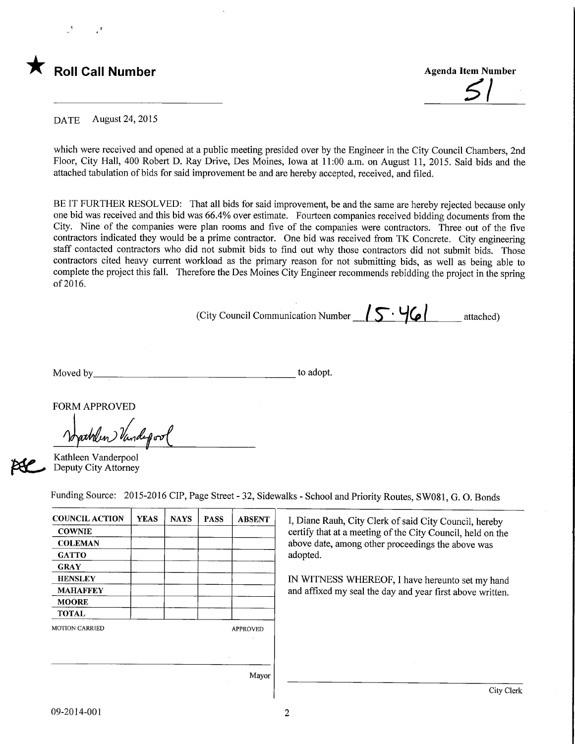

 $5\,$ 

DATE August 24, 2015

which were received and opened at a public meeting presided over by the Engineer in the City Council Chambers, 2nd Floor, City Hall, 400 Robert D. Ray Drive, Des Moines, Iowa at 11:00 a.m. on August 11, 2015. Said bids and the attached tabulation of bids for said improvement be and are hereby accepted, received, and filed.

BE IT FURTHER RESOLVED: That all bids for said improvement, be and the same are hereby rejected because only one bid was received and this bid was 66.4% over estimate. Fourteen companies received bidding documents from the City. Nine of the companies were plan rooms and five of the companies were contractors. Three out of the five contractors indicated they would be a prime contractor. One bid was received from TK Concrete. City engineering staff contacted contractors who did not submit bids to find out why those contractors did not submit bids. Those contractors cited heavy current workload as the primary reason for not submitting bids, as well as being able to complete the project this fall. Therefore the Des Moines City Engineer recommends rebidding the project in the spring of2016.

(City Council Communication Number  $\sqrt{5\cdot 46}$  attached)

Moved by to adopt.

FORM APPROVED

Nathlen Vandepool

Kathleen Vanderpool Deputy City Attorney

Funding Source: 2015-2016 CIP, Page Street - 32, Sidewalks - School and Priority Routes, SW081, G. 0. Bonds

| <b>COUNCIL ACTION</b> | <b>YEAS</b> | <b>NAYS</b> | <b>PASS</b> | <b>ABSENT</b>   |  |
|-----------------------|-------------|-------------|-------------|-----------------|--|
| <b>COWNIE</b>         |             |             |             |                 |  |
| <b>COLEMAN</b>        |             |             |             |                 |  |
| <b>GATTO</b>          |             |             |             |                 |  |
| <b>GRAY</b>           |             |             |             |                 |  |
| <b>HENSLEY</b>        |             |             |             |                 |  |
| <b>MAHAFFEY</b>       |             |             |             |                 |  |
| <b>MOORE</b>          |             |             |             |                 |  |
| <b>TOTAL</b>          |             |             |             |                 |  |
| <b>MOTION CARRIED</b> |             |             |             | <b>APPROVED</b> |  |
|                       |             |             |             |                 |  |
|                       |             |             |             |                 |  |
|                       |             |             |             | Mayor           |  |

I, Diane Rauh, City Clerk of said City Council, hereby certify that at a meeting of the City Council, held on the above date, among other proceedings the above was adopted.

IN WITNESS WHEREOF, I have hereunto set my hand and affixed my seal the day and year first above written.